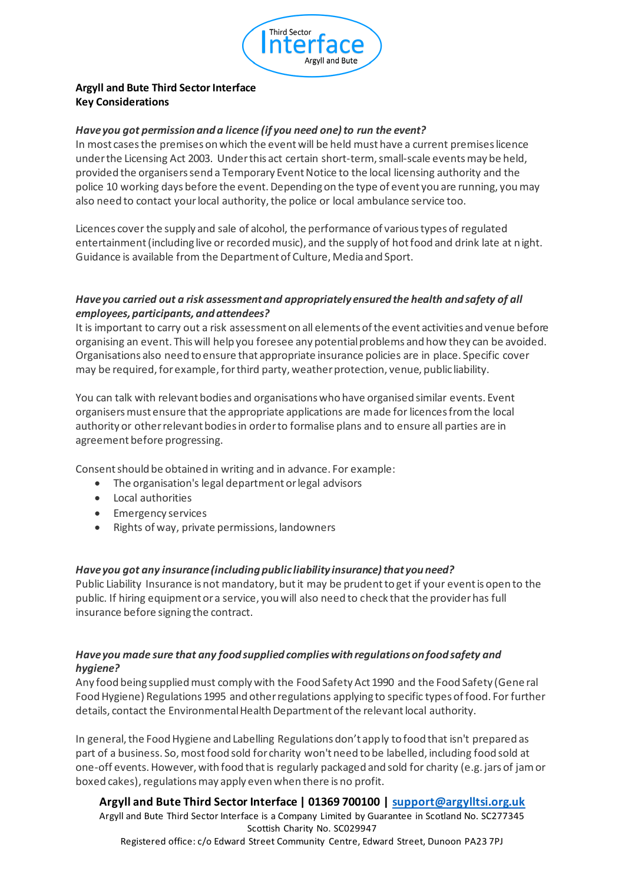

# **Argyll and Bute Third Sector Interface Key Considerations**

#### *Have you got permission and a licence (if you need one) to run the event?*

In most cases the premises on which the event will be held must have a current premises licence under the Licensing Act 2003. Under this act certain short-term, small-scale events may be held, provided the organisers send a Temporary Event Notice to the local licensing authority and the police 10 working days before the event. Depending on the type of event you are running, you may also need to contact your local authority, the police or local ambulance service too.

Licences cover the supply and sale of alcohol, the performance of various types of regulated entertainment (including live or recorded music), and the supply of hot food and drink late at night. Guidance is available from the Department of Culture, Media and Sport.

## *Have you carried out a risk assessment and appropriately ensured the health and safety of all employees, participants, and attendees?*

It is important to carry out a risk assessment on all elements of the event activities and venue before organising an event. This will help you foresee any potential problems and how they can be avoided. Organisations also need to ensure that appropriate insurance policies are in place. Specific cover may be required, for example, for third party, weather protection, venue, public liability.

You can talk with relevant bodies and organisations who have organised similar events. Event organisers must ensure that the appropriate applications are made for licences from the local authority or other relevant bodies in order to formalise plans and to ensure all parties are in agreement before progressing.

Consent should be obtained in writing and in advance. For example:

- The organisation's legal department or legal advisors
- Local authorities
- Emergency services
- Rights of way, private permissions, landowners

#### *Have you got any insurance (including public liability insurance) that you need?*

Public Liability Insurance is not mandatory, but it may be prudent to get if your event is open to the public. If hiring equipment or a service, you will also need to check that the provider has full insurance before signing the contract.

## *Have you made sure that any food supplied complies with regulations on food safety and hygiene?*

Any food being supplied must comply with the Food Safety Act 1990 and the Food Safety (Gene ral Food Hygiene) Regulations 1995 and other regulations applying to specific types of food. For further details, contact the Environmental Health Department of the relevant local authority.

In general, the Food Hygiene and Labelling Regulations don't apply to food that isn't prepared as part of a business. So, most food sold for charity won't need to be labelled, including food sold at one-off events. However, with food that is regularly packaged and sold for charity (e.g. jars of jam or boxed cakes), regulations may apply even when there is no profit.

**Argyll and Bute Third Sector Interface | 01369 700100 | support@argylltsi.org.uk** Argyll and Bute Third Sector Interface is a Company Limited by Guarantee in Scotland No. SC277345 Scottish Charity No. SC029947 Registered office: c/o Edward Street Community Centre, Edward Street, Dunoon PA23 7PJ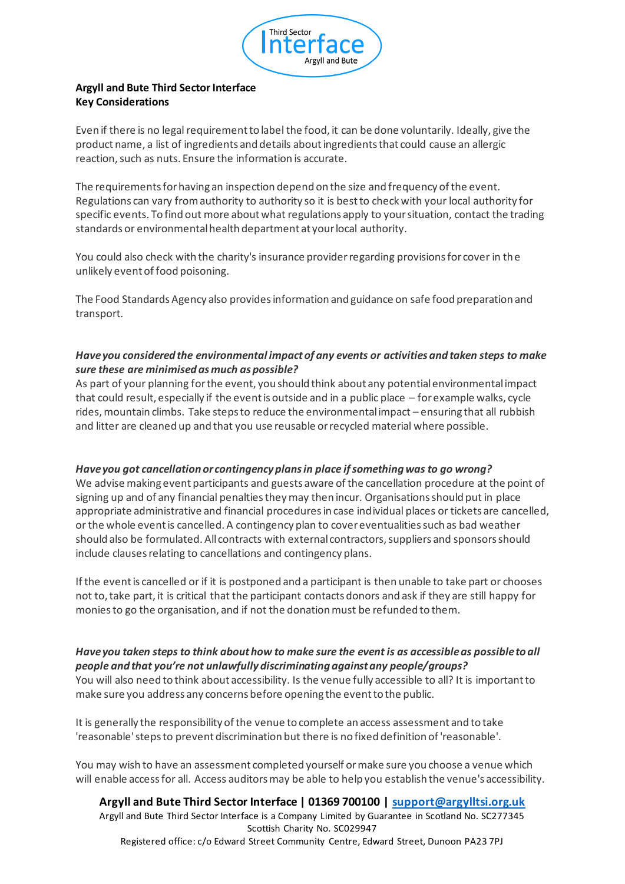

# **Argyll and Bute Third Sector Interface Key Considerations**

Even if there is no legal requirement to label the food, it can be done voluntarily. Ideally, give the product name, a list of ingredients and details about ingredients that could cause an allergic reaction, such as nuts. Ensure the information is accurate.

The requirements for having an inspection depend on the size and frequency of the event. Regulations can vary from authority to authority so it is best to check with your local authority for specific events. To find out more about what regulations apply to your situation, contact the trading standards or environmental health department at your local authority.

You could also check with the charity's insurance provider regarding provisions for cover in the unlikely event of food poisoning.

The Food Standards Agency also provides information and guidance on safe food preparation and transport.

# *Have you considered the environmental impact of any events or activities and taken steps to make sure these are minimised as much as possible?*

As part of your planning for the event, you should think about any potential environmental impact that could result, especially if the event is outside and in a public place – for example walks, cycle rides, mountain climbs. Take steps to reduce the environmental impact – ensuring that all rubbish and litter are cleaned up and that you use reusable or recycled material where possible.

## *Have you got cancellation or contingency plans in place if something was to go wrong?*

We advise making event participants and guests aware of the cancellation procedure at the point of signing up and of any financial penalties they may then incur. Organisations should put in place appropriate administrative and financial procedures in case individual places or tickets are cancelled, or the whole event is cancelled. A contingency plan to cover eventualities such as bad weather should also be formulated. All contracts with external contractors, suppliers and sponsors should include clauses relating to cancellations and contingency plans.

If the event is cancelled or if it is postponed and a participant is then unable to take part or chooses not to, take part, it is critical that the participant contacts donors and ask if they are still happy for monies to go the organisation, and if not the donation must be refunded to them.

#### *Have you taken steps to think about how to make sure the event is as accessible as possible to all people and that you're not unlawfully discriminating against any people/groups?*

You will also need to think about accessibility. Is the venue fully accessible to all? It is important to make sure you address any concerns before opening the event to the public.

It is generally the responsibility of the venue to complete an access assessment and to take 'reasonable' steps to prevent discrimination but there is no fixed definition of 'reasonable'.

You may wish to have an assessment completed yourself or make sure you choose a venue which will enable access for all. Access auditors may be able to help you establish the venue's accessibility.

**Argyll and Bute Third Sector Interface | 01369 700100 | support@argylltsi.org.uk** Argyll and Bute Third Sector Interface is a Company Limited by Guarantee in Scotland No. SC277345 Scottish Charity No. SC029947 Registered office: c/o Edward Street Community Centre, Edward Street, Dunoon PA23 7PJ